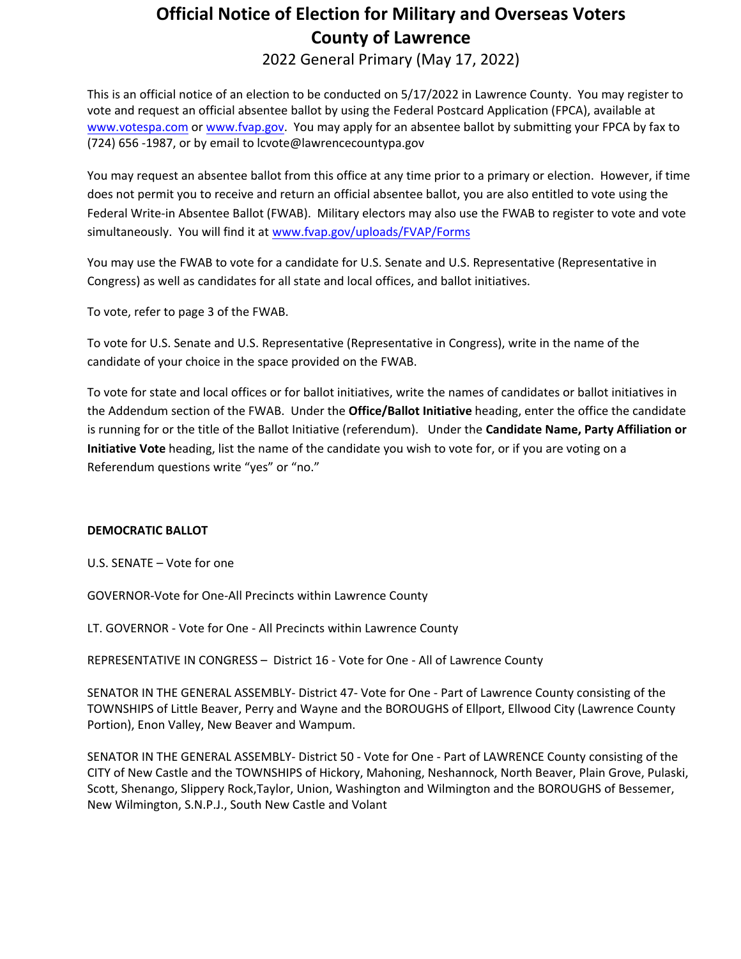## **Official Notice of Election for Military and Overseas Voters County of Lawrence**

2022 General Primary (May 17, 2022)

This is an official notice of an election to be conducted on 5/17/2022 in Lawrence County. You may register to vote and request an official absentee ballot by using the Federal Postcard Application (FPCA), available at www.votespa.com or www.fvap.gov. You may apply for an absentee ballot by submitting your FPCA by fax to (724) 656 -1987, or by email to lcvote@lawrencecountypa.gov

You may request an absentee ballot from this office at any time prior to a primary or election. However, if time does not permit you to receive and return an official absentee ballot, you are also entitled to vote using the Federal Write-in Absentee Ballot (FWAB). Military electors may also use the FWAB to register to vote and vote simultaneously. You will find it at www.fvap.gov/uploads/FVAP/Forms

You may use the FWAB to vote for a candidate for U.S. Senate and U.S. Representative (Representative in Congress) as well as candidates for all state and local offices, and ballot initiatives.

To vote, refer to page 3 of the FWAB.

To vote for U.S. Senate and U.S. Representative (Representative in Congress), write in the name of the candidate of your choice in the space provided on the FWAB.

To vote for state and local offices or for ballot initiatives, write the names of candidates or ballot initiatives in the Addendum section of the FWAB. Under the **Office/Ballot Initiative** heading, enter the office the candidate is running for or the title of the Ballot Initiative (referendum). Under the **Candidate Name, Party Affiliation or Initiative Vote** heading, list the name of the candidate you wish to vote for, or if you are voting on a Referendum questions write "yes" or "no."

### **DEMOCRATIC BALLOT**

U.S. SENATE – Vote for one

GOVERNOR-Vote for One-All Precincts within Lawrence County

LT. GOVERNOR - Vote for One - All Precincts within Lawrence County

REPRESENTATIVE IN CONGRESS – District 16 - Vote for One - All of Lawrence County

SENATOR IN THE GENERAL ASSEMBLY- District 47- Vote for One - Part of Lawrence County consisting of the TOWNSHIPS of Little Beaver, Perry and Wayne and the BOROUGHS of Ellport, Ellwood City (Lawrence County Portion), Enon Valley, New Beaver and Wampum.

SENATOR IN THE GENERAL ASSEMBLY- District 50 - Vote for One - Part of LAWRENCE County consisting of the CITY of New Castle and the TOWNSHIPS of Hickory, Mahoning, Neshannock, North Beaver, Plain Grove, Pulaski, Scott, Shenango, Slippery Rock,Taylor, Union, Washington and Wilmington and the BOROUGHS of Bessemer, New Wilmington, S.N.P.J., South New Castle and Volant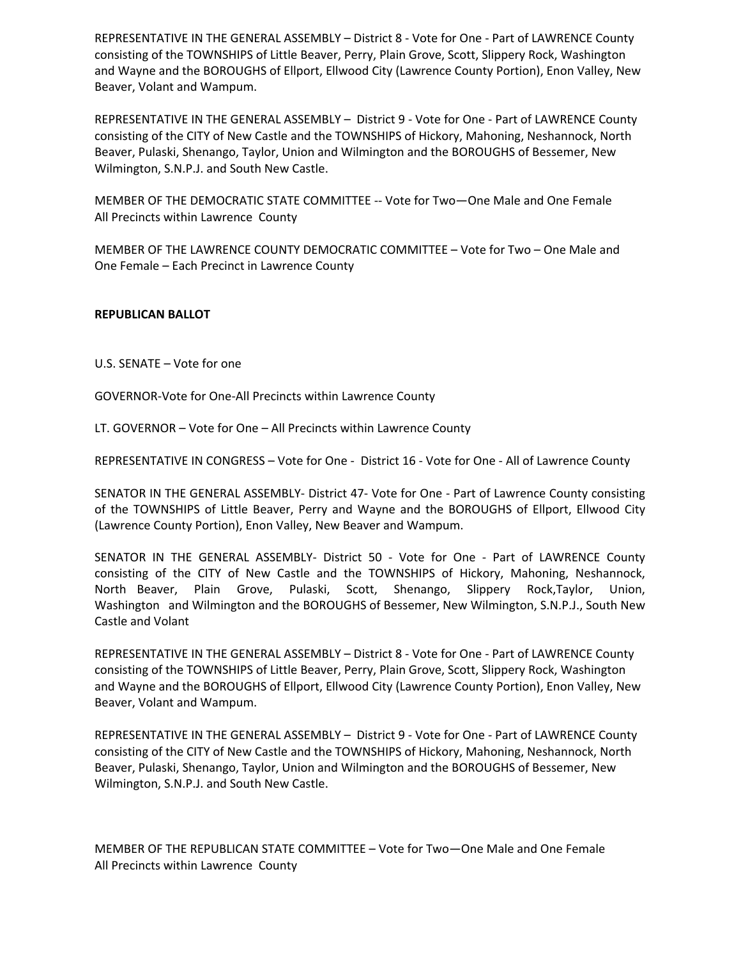REPRESENTATIVE IN THE GENERAL ASSEMBLY – District 8 - Vote for One - Part of LAWRENCE County consisting of the TOWNSHIPS of Little Beaver, Perry, Plain Grove, Scott, Slippery Rock, Washington and Wayne and the BOROUGHS of Ellport, Ellwood City (Lawrence County Portion), Enon Valley, New Beaver, Volant and Wampum.

REPRESENTATIVE IN THE GENERAL ASSEMBLY – District 9 - Vote for One - Part of LAWRENCE County consisting of the CITY of New Castle and the TOWNSHIPS of Hickory, Mahoning, Neshannock, North Beaver, Pulaski, Shenango, Taylor, Union and Wilmington and the BOROUGHS of Bessemer, New Wilmington, S.N.P.J. and South New Castle.

MEMBER OF THE DEMOCRATIC STATE COMMITTEE -- Vote for Two—One Male and One Female All Precincts within Lawrence County

MEMBER OF THE LAWRENCE COUNTY DEMOCRATIC COMMITTEE – Vote for Two – One Male and One Female – Each Precinct in Lawrence County

#### **REPUBLICAN BALLOT**

U.S. SENATE – Vote for one

GOVERNOR-Vote for One-All Precincts within Lawrence County

LT. GOVERNOR – Vote for One – All Precincts within Lawrence County

REPRESENTATIVE IN CONGRESS – Vote for One - District 16 - Vote for One - All of Lawrence County

SENATOR IN THE GENERAL ASSEMBLY- District 47- Vote for One - Part of Lawrence County consisting of the TOWNSHIPS of Little Beaver, Perry and Wayne and the BOROUGHS of Ellport, Ellwood City (Lawrence County Portion), Enon Valley, New Beaver and Wampum.

SENATOR IN THE GENERAL ASSEMBLY- District 50 - Vote for One - Part of LAWRENCE County consisting of the CITY of New Castle and the TOWNSHIPS of Hickory, Mahoning, Neshannock, North Beaver, Plain Grove, Pulaski, Scott, Shenango, Slippery Rock,Taylor, Union, Washington and Wilmington and the BOROUGHS of Bessemer, New Wilmington, S.N.P.J., South New Castle and Volant

REPRESENTATIVE IN THE GENERAL ASSEMBLY – District 8 - Vote for One - Part of LAWRENCE County consisting of the TOWNSHIPS of Little Beaver, Perry, Plain Grove, Scott, Slippery Rock, Washington and Wayne and the BOROUGHS of Ellport, Ellwood City (Lawrence County Portion), Enon Valley, New Beaver, Volant and Wampum.

REPRESENTATIVE IN THE GENERAL ASSEMBLY – District 9 - Vote for One - Part of LAWRENCE County consisting of the CITY of New Castle and the TOWNSHIPS of Hickory, Mahoning, Neshannock, North Beaver, Pulaski, Shenango, Taylor, Union and Wilmington and the BOROUGHS of Bessemer, New Wilmington, S.N.P.J. and South New Castle.

MEMBER OF THE REPUBLICAN STATE COMMITTEE – Vote for Two—One Male and One Female All Precincts within Lawrence County